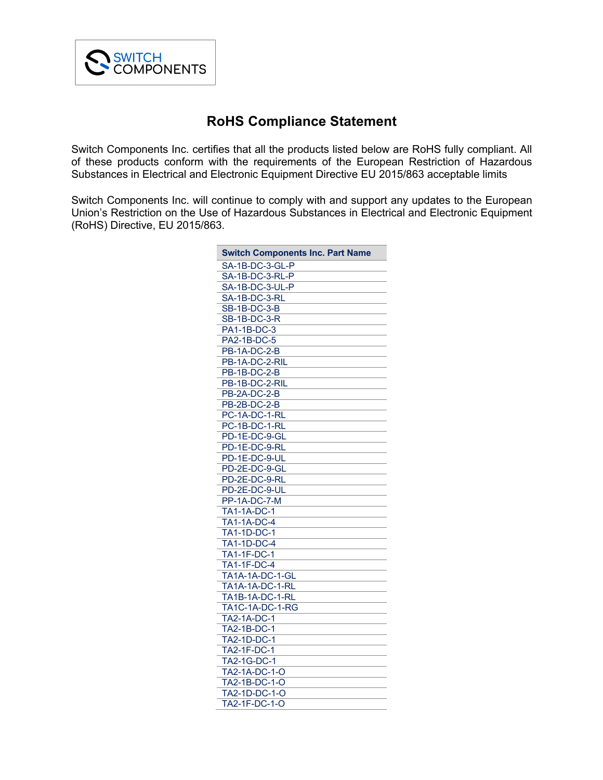

## **RoHS Compliance Statement**

Switch Components Inc. certifies that all the products listed below are RoHS fully compliant. All of these products conform with the requirements of the European Restriction of Hazardous Substances in Electrical and Electronic Equipment Directive EU 2015/863 acceptable limits

Switch Components Inc. will continue to comply with and support any updates to the European Union's Restriction on the Use of Hazardous Substances in Electrical and Electronic Equipment (RoHS) Directive, EU 2015/863.

| <b>Switch Components Inc. Part Name</b> |
|-----------------------------------------|
| SA-1B-DC-3-GL-P                         |
| SA-1B-DC-3-RL-P                         |
| SA-1B-DC-3-UL-P                         |
| SA-1B-DC-3-RL                           |
| <b>SB-1B-DC-3-B</b>                     |
| $SB-1B-DC-3-R$                          |
| PA1-1B-DC-3                             |
| PA2-1B-DC-5                             |
| PB-1A-DC-2-B                            |
| PB-1A-DC-2-RIL                          |
| PB-1B-DC-2-B                            |
| PB-1B-DC-2-RIL                          |
| <b>PB-2A-DC-2-B</b>                     |
| <b>PB-2B-DC-2-B</b>                     |
| PC-1A-DC-1-RL                           |
| PC-1B-DC-1-RL                           |
| PD-1E-DC-9-GL                           |
| PD-1E-DC-9-RL                           |
| PD-1E-DC-9-UL                           |
| PD-2E-DC-9-GL                           |
| PD-2E-DC-9-RL                           |
| PD-2E-DC-9-UL                           |
| PP-1A-DC-7-M                            |
| <b>TA1-1A-DC-1</b>                      |
| <b>TA1-1A-DC-4</b>                      |
| <b>TA1-1D-DC-1</b>                      |
| <b>TA1-1D-DC-4</b>                      |
| <b>TA1-1F-DC-1</b>                      |
| <b>TA1-1F-DC-4</b>                      |
| TA1A-1A-DC-1-GL                         |
| TA1A-1A-DC-1-RL                         |
| <b>TA1B-1A-DC-1-RL</b>                  |
| TA1C-1A-DC-1-RG                         |
| <b>TA2-1A-DC-1</b>                      |
| TA2-1B-DC-1                             |
| <b>TA2-1D-DC-1</b>                      |
| <b>TA2-1F-DC-1</b>                      |
| <b>TA2-1G-DC-1</b>                      |
| TA2-1A-DC-1-O                           |
| TA2-1B-DC-1-O                           |
| TA2-1D-DC-1-O                           |
| TA2-1F-DC-1-O                           |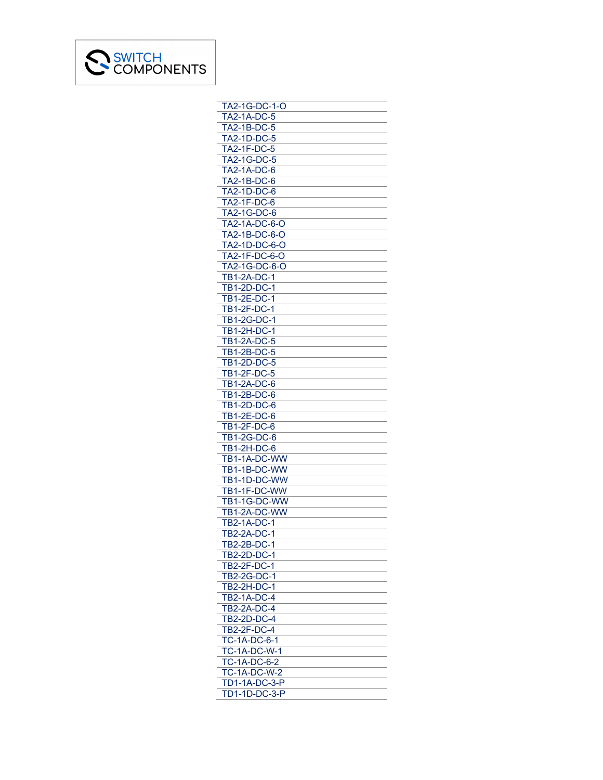

| TA2-1G-DC-1-O        |
|----------------------|
| <b>TA2-1A-DC-5</b>   |
| TA2-1B-DC-5          |
| <b>TA2-1D-DC-5</b>   |
| <b>TA2-1F-DC-5</b>   |
| <b>TA2-1G-DC-5</b>   |
|                      |
| <b>TA2-1A-DC-6</b>   |
| TA2-1B-DC-6          |
| <b>TA2-1D-DC-6</b>   |
| TA2-1F-DC-6          |
| TA2-1G-DC-6          |
| TA2-1A-DC-6-O        |
| TA2-1B-DC-6-O        |
| TA2-1D-DC-6-O        |
| TA2-1F-DC-6-O        |
| TA2-1G-DC-6-O        |
| <b>TB1-2A-DC-1</b>   |
| TB1-2D-DC-1          |
| TB1-2E-DC-1          |
|                      |
| TB1-2F-DC-1          |
| TB1-2G-DC-1          |
| <b>TB1-2H-DC-1</b>   |
| <b>TB1-2A-DC-5</b>   |
| <b>TB1-2B-DC-5</b>   |
| <b>TB1-2D-DC-5</b>   |
| TB1-2F-DC-5          |
| <b>TB1-2A-DC-6</b>   |
| TB1-2B-DC-6          |
| TB1-2D-DC-6          |
| TB1-2E-DC-6          |
| <b>TB1-2F-DC-6</b>   |
| <b>TB1-2G-DC-6</b>   |
| <b>TB1-2H-DC-6</b>   |
| TB1-1A-DC-WW         |
| TB1-1B-DC-WW         |
| TB1-1D-DC-WW         |
| TB1-1F-DC-WW         |
|                      |
| TB1-1G-DC-WW         |
| TB1-2A-DC-WW         |
| <b>TB2-1A-DC-1</b>   |
| TB2-2A-DC-1          |
| TB2-2B-DC-1          |
| <b>TB2-2D-DC-1</b>   |
| TB2-2F-DC-1          |
| TB2-2G-DC-1          |
| <b>TB2-2H-DC-1</b>   |
| <b>TB2-1A-DC-4</b>   |
| <b>TB2-2A-DC-4</b>   |
| TB2-2D-DC-4          |
| TB2-2F-DC-4          |
| TC-1A-DC-6-1         |
|                      |
| <b>TC-1A-DC-W-1</b>  |
| <b>TC-1A-DC-6-2</b>  |
| <b>TC-1A-DC-W-2</b>  |
| <b>TD1-1A-DC-3-P</b> |
| TD1-1D-DC-3-P        |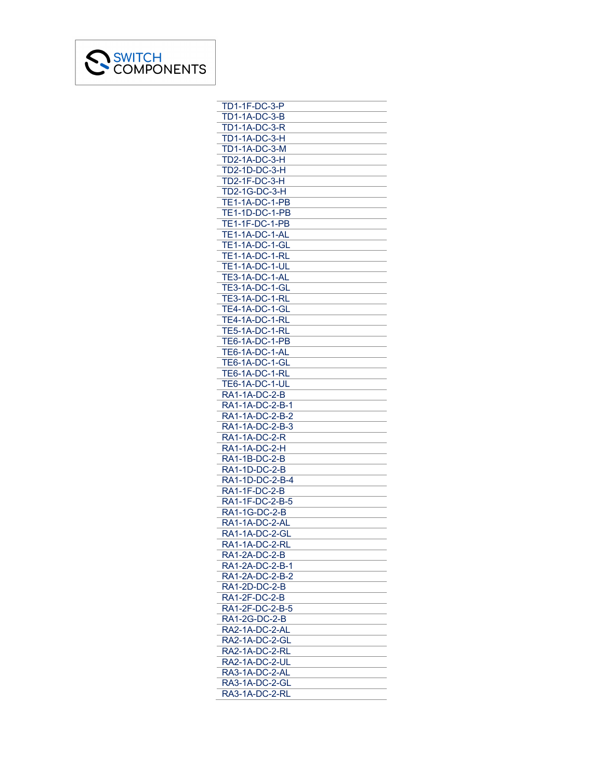

| <b>TD1-1F-DC-3-P</b>             |
|----------------------------------|
| <b>TD1-1A-DC-3-B</b>             |
| TD1-1A-DC-3-R                    |
| <b>TD1-1A-DC-3-H</b>             |
| <b>TD1-1A-DC-3-M</b>             |
| <b>TD2-1A-DC-3-H</b>             |
| TD2-1D-DC-3-H                    |
|                                  |
| <b>TD2-1F-DC-3-H</b>             |
| <b>TD2-1G-DC-3-H</b>             |
| TE1-1A-DC-1-PB                   |
| <b>TE1-1D-DC-1-PB</b>            |
| TE1-1F-DC-1-PB                   |
| TE1-1A-DC-1-AL                   |
| <b>TE1-1A-DC-1-GL</b>            |
| TE1-1A-DC-1-RL                   |
| <b>TE1-1A-DC-1-UL</b>            |
| TE3-1A-DC-1-AL                   |
| <b>TE3-1A-DC-1-GL</b>            |
| <b>TE3-1A-DC-1-RL</b>            |
| TE4-1A-DC-1-GL                   |
| TE4-1A-DC-1-RL                   |
| <b>TE5-1A-DC-1-RL</b>            |
|                                  |
| TE6-1A-DC-1-PB                   |
| <b>TE6-1A-DC-1-AL</b>            |
| <b>TE6-1A-DC-1-GL</b>            |
| <b>TE6-1A-DC-1-RL</b>            |
| <b>TE6-1A-DC-1-UL</b>            |
| RA1-1A-DC-2-B                    |
| RA1-1A-DC-2-B-1                  |
| RA1-1A-DC-2-B-2                  |
| RA1-1A-DC-2-B-3                  |
| <b>RA1-1A-DC-2-R</b>             |
| <b>RA1-1A-DC-2-H</b>             |
| RA1-1B-DC-2-B                    |
| RA1-1D-DC-2-B                    |
| RA1-1D-DC-2-B-4                  |
| RA1-1F-DC-2-B                    |
| RA1-1F-DC-2-B-5                  |
| RA1-1G-DC-2-B                    |
| RA1-1A-DC-2-AL                   |
| RA1-1A-DC-2-GL                   |
| RA1-1A-DC-2-RL                   |
| RA1-2A-DC-2-B                    |
| RA1-2A-DC-2-B-1                  |
|                                  |
| RA1-2A-DC-2-B-2<br>RA1-2D-DC-2-B |
|                                  |
| RA1-2F-DC-2-B                    |
| RA1-2F-DC-2-B-5                  |
| RA1-2G-DC-2-B                    |
| RA2-1A-DC-2-AL                   |
| RA2-1A-DC-2-GL                   |
| RA2-1A-DC-2-RL                   |
| <b>RA2-1A-DC-2-UL</b>            |
| RA3-1A-DC-2-AL                   |
| RA3-1A-DC-2-GL                   |
| RA3-1A-DC-2-RL                   |
|                                  |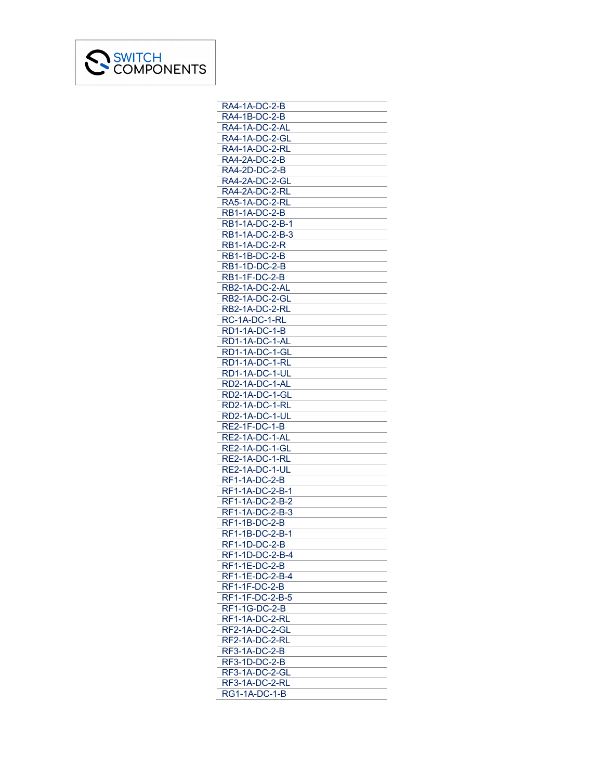

| RA4-1A-DC-2-B         |
|-----------------------|
| RA4-1B-DC-2-B         |
| RA4-1A-DC-2-AL        |
| RA4-1A-DC-2-GL        |
| RA4-1A-DC-2-RL        |
| RA4-2A-DC-2-B         |
| RA4-2D-DC-2-B         |
| RA4-2A-DC-2-GL        |
| RA4-2A-DC-2-RL        |
| RA5-1A-DC-2-RL        |
| RB1-1A-DC-2-B         |
| RB1-1A-DC-2-B-1       |
| RB1-1A-DC-2-B-3       |
| <b>RB1-1A-DC-2-R</b>  |
| <b>RB1-1B-DC-2-B</b>  |
| <b>RB1-1D-DC-2-B</b>  |
|                       |
| RB1-1F-DC-2-B         |
| RB2-1A-DC-2-AL        |
| RB2-1A-DC-2-GL        |
| RB2-1A-DC-2-RL        |
| RC-1A-DC-1-RL         |
| <b>RD1-1A-DC-1-B</b>  |
| RD1-1A-DC-1-AL        |
| RD1-1A-DC-1-GL        |
| RD1-1A-DC-1-RL        |
| RD1-1A-DC-1-UL        |
| RD2-1A-DC-1-AL        |
| RD2-1A-DC-1-GL        |
| <u>RD2-1A-DC-1-RL</u> |
| RD2-1A-DC-1-UL        |
| <b>RE2-1F-DC-1-B</b>  |
| RE2-1A-DC-1-AL        |
| RE2-1A-DC-1-GL        |
| RE2-1A-DC-1-RL        |
| RE2-1A-DC-1-UL        |
| <b>RF1-1A-DC-2-B</b>  |
| RF1-1A-DC-2-B-1       |
| RF1-1A-DC-2-B-2       |
| RF1-1A-DC-2-B-3       |
| RF1-1B-DC-2-B         |
| RF1-1B-DC-2-B-1       |
| RF1-1D-DC-2-B         |
| RF1-1D-DC-2-B-4       |
|                       |
| RF1-1E-DC-2-B         |
| RF1-1E-DC-2-B-4       |
| <b>RF1-1F-DC-2-B</b>  |
| RF1-1F-DC-2-B-5       |
| RF1-1G-DC-2-B         |
| RF1-1A-DC-2-RL        |
| RF2-1A-DC-2-GL        |
| RF2-1A-DC-2-RL        |
| RF3-1A-DC-2-B         |
| RF3-1D-DC-2-B         |
| RF3-1A-DC-2-GL        |
| RF3-1A-DC-2-RL        |
| <b>RG1-1A-DC-1-B</b>  |
|                       |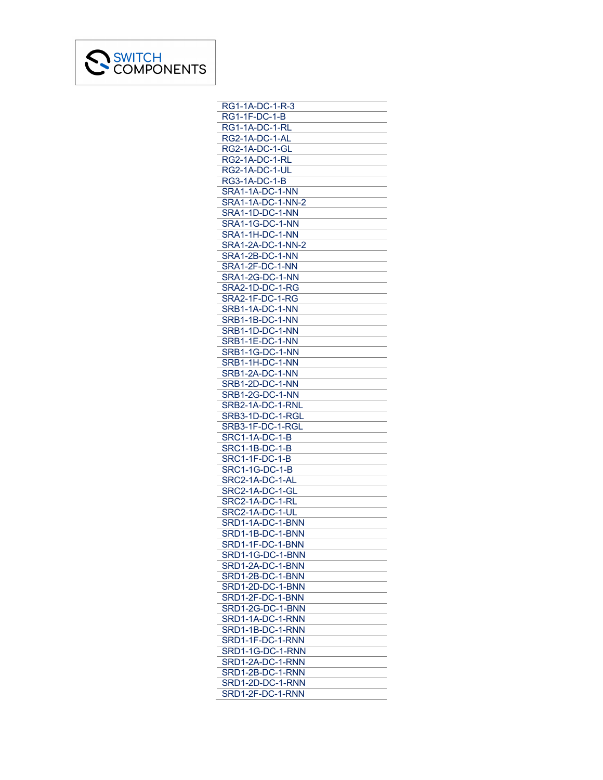

| RG1-1A-DC-1-R-3                      |
|--------------------------------------|
| RG1-1F-DC-1-B                        |
| RG1-1A-DC-1-RL                       |
| RG2-1A-DC-1-AL                       |
| <b>RG2-1A-DC-1-GL</b>                |
| RG2-1A-DC-1-RL                       |
| RG2-1A-DC-1-UL                       |
| RG3-1A-DC-1-B                        |
| SRA1-1A-DC-1-NN                      |
| <b>SRA1-1A-DC-1-NN-2</b>             |
| SRA1-1D-DC-1-NN                      |
| SRA1-1G-DC-1-NN                      |
| SRA1-1H-DC-1-NN                      |
| SRA1-2A-DC-1-NN-2                    |
| SRA1-2B-DC-1-NN                      |
| SRA1-2F-DC-1-NN                      |
| SRA1-2G-DC-1-NN                      |
|                                      |
| SRA2-1D-DC-1-RG                      |
| SRA2-1F-DC-1-RG                      |
| SRB1-1A-DC-1-NN                      |
| SRB1-1B-DC-1-NN                      |
| SRB1-1D-DC-1-NN                      |
| SRB1-1E-DC-1-NN                      |
| SRB1-1G-DC-1-NN                      |
| SRB1-1H-DC-1-NN                      |
| SRB1-2A-DC-1-NN                      |
| SRB1-2D-DC-1-NN                      |
| SRB1-2G-DC-1-NN                      |
| SRB2-1A-DC-1-RNL                     |
| SRB3-1D-DC-1-RGL                     |
| SRB3-1F-DC-1-RGL                     |
| <b>SRC1-1A-DC-1-B</b>                |
| <b>SRC1-1B-DC-1-B</b>                |
| SRC1-1F-DC-1-B                       |
| <b>SRC1-1G-DC-1-B</b>                |
| SRC2-1A-DC-1-AL                      |
| SRC2-1A-DC-1-GL                      |
| SRC2-1A-DC-1-RL                      |
| SRC2-1A-DC-1-UL                      |
| SRD1-1A-DC-1-BNN                     |
| SRD1-1B-DC-1-BNN                     |
| SRD1-1F-DC-1-BNN                     |
| SRD1-1G-DC-1-BNN                     |
| SRD1-2A-DC-1-BNN                     |
|                                      |
| SRD1-2B-DC-1-BNN<br>SRD1-2D-DC-1-BNN |
| SRD1-2F-DC-1-BNN                     |
| SRD1-2G-DC-1-BNN                     |
|                                      |
| SRD1-1A-DC-1-RNN                     |
| SRD1-1B-DC-1-RNN                     |
| SRD1-1F-DC-1-RNN                     |
| SRD1-1G-DC-1-RNN                     |
| SRD1-2A-DC-1-RNN                     |
| SRD1-2B-DC-1-RNN                     |
| SRD1-2D-DC-1-RNN                     |
| SRD1-2F-DC-1-RNN                     |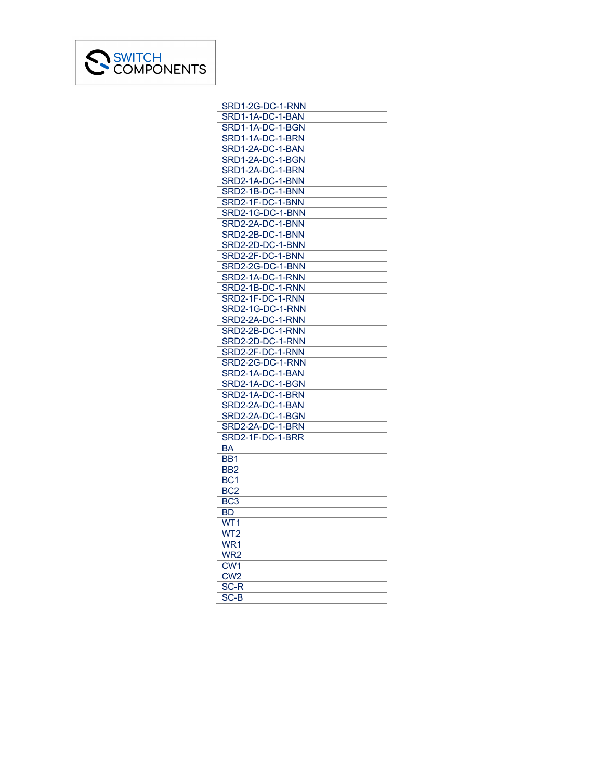

| SRD1-2G-DC-1-RNN |
|------------------|
| SRD1-1A-DC-1-BAN |
| SRD1-1A-DC-1-BGN |
| SRD1-1A-DC-1-BRN |
| SRD1-2A-DC-1-BAN |
| SRD1-2A-DC-1-BGN |
| SRD1-2A-DC-1-BRN |
|                  |
| SRD2-1A-DC-1-BNN |
| SRD2-1B-DC-1-BNN |
| SRD2-1F-DC-1-BNN |
| SRD2-1G-DC-1-BNN |
| SRD2-2A-DC-1-BNN |
| SRD2-2B-DC-1-BNN |
| SRD2-2D-DC-1-BNN |
| SRD2-2F-DC-1-BNN |
| SRD2-2G-DC-1-BNN |
| SRD2-1A-DC-1-RNN |
| SRD2-1B-DC-1-RNN |
| SRD2-1F-DC-1-RNN |
|                  |
| SRD2-1G-DC-1-RNN |
| SRD2-2A-DC-1-RNN |
| SRD2-2B-DC-1-RNN |
| SRD2-2D-DC-1-RNN |
| SRD2-2F-DC-1-RNN |
| SRD2-2G-DC-1-RNN |
| SRD2-1A-DC-1-BAN |
| SRD2-1A-DC-1-BGN |
| SRD2-1A-DC-1-BRN |
| SRD2-2A-DC-1-BAN |
| SRD2-2A-DC-1-BGN |
| SRD2-2A-DC-1-BRN |
| SRD2-1F-DC-1-BRR |
| ВA               |
| BB <sub>1</sub>  |
|                  |
| BB <sub>2</sub>  |
| BC <sub>1</sub>  |
| BC <sub>2</sub>  |
| BC3              |
| <b>BD</b>        |
| WT1              |
| WT2              |
| WR <sub>1</sub>  |
| WR <sub>2</sub>  |
| CW <sub>1</sub>  |
| CW <sub>2</sub>  |
| SC-R             |
| SC-B             |
|                  |